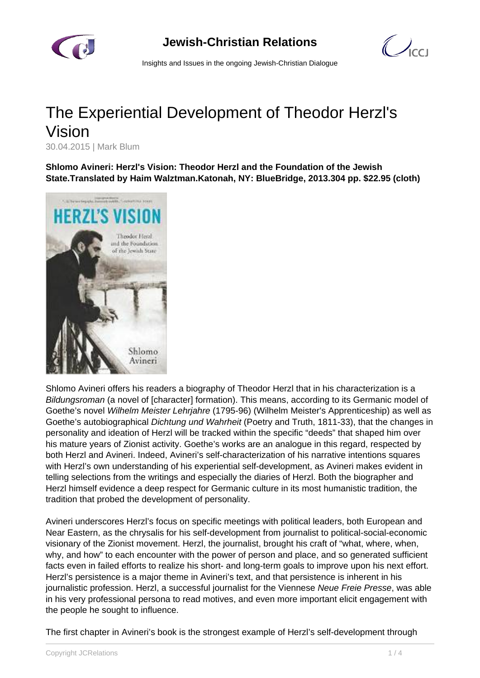

 $\mathcal{O}_{\text{cc}1}$ 

Insights and Issues in the ongoing Jewish-Christian Dialogue

## The Experiential Development of Theodor Herzl's Vision

30.04.2015 | Mark Blum

**Shlomo Avineri: Herzl's Vision: Theodor Herzl and the Foundation of the Jewish State.Translated by Haim Walztman.Katonah, NY: BlueBridge, 2013.304 pp. \$22.95 (cloth)**



Shlomo Avineri offers his readers a biography of Theodor Herzl that in his characterization is a Bildungsroman (a novel of [character] formation). This means, according to its Germanic model of Goethe's novel Wilhelm Meister Lehrjahre (1795-96) (Wilhelm Meister's Apprenticeship) as well as Goethe's autobiographical Dichtung und Wahrheit (Poetry and Truth, 1811-33), that the changes in personality and ideation of Herzl will be tracked within the specific "deeds" that shaped him over his mature years of Zionist activity. Goethe's works are an analogue in this regard, respected by both Herzl and Avineri. Indeed, Avineri's self-characterization of his narrative intentions squares with Herzl's own understanding of his experiential self-development, as Avineri makes evident in telling selections from the writings and especially the diaries of Herzl. Both the biographer and Herzl himself evidence a deep respect for Germanic culture in its most humanistic tradition, the tradition that probed the development of personality.

Avineri underscores Herzl's focus on specific meetings with political leaders, both European and Near Eastern, as the chrysalis for his self-development from journalist to political-social-economic visionary of the Zionist movement. Herzl, the journalist, brought his craft of "what, where, when, why, and how" to each encounter with the power of person and place, and so generated sufficient facts even in failed efforts to realize his short- and long-term goals to improve upon his next effort. Herzl's persistence is a major theme in Avineri's text, and that persistence is inherent in his journalistic profession. Herzl, a successful journalist for the Viennese Neue Freie Presse, was able in his very professional persona to read motives, and even more important elicit engagement with the people he sought to influence.

The first chapter in Avineri's book is the strongest example of Herzl's self-development through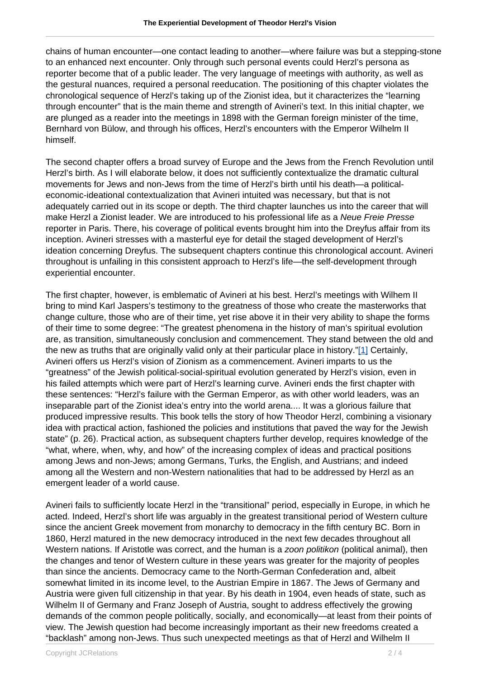chains of human encounter—one contact leading to another—where failure was but a stepping-stone to an enhanced next encounter. Only through such personal events could Herzl's persona as reporter become that of a public leader. The very language of meetings with authority, as well as the gestural nuances, required a personal reeducation. The positioning of this chapter violates the chronological sequence of Herzl's taking up of the Zionist idea, but it characterizes the "learning through encounter" that is the main theme and strength of Avineri's text. In this initial chapter, we are plunged as a reader into the meetings in 1898 with the German foreign minister of the time, Bernhard von Bülow, and through his offices, Herzl's encounters with the Emperor Wilhelm II himself.

The second chapter offers a broad survey of Europe and the Jews from the French Revolution until Herzl's birth. As I will elaborate below, it does not sufficiently contextualize the dramatic cultural movements for Jews and non-Jews from the time of Herzl's birth until his death—a politicaleconomic-ideational contextualization that Avineri intuited was necessary, but that is not adequately carried out in its scope or depth. The third chapter launches us into the career that will make Herzl a Zionist leader. We are introduced to his professional life as a Neue Freie Presse reporter in Paris. There, his coverage of political events brought him into the Dreyfus affair from its inception. Avineri stresses with a masterful eye for detail the staged development of Herzl's ideation concerning Dreyfus. The subsequent chapters continue this chronological account. Avineri throughout is unfailing in this consistent approach to Herzl's life—the self-development through experiential encounter.

The first chapter, however, is emblematic of Avineri at his best. Herzl's meetings with Wilhem II bring to mind Karl Jaspers's testimony to the greatness of those who create the masterworks that change culture, those who are of their time, yet rise above it in their very ability to shape the forms of their time to some degree: "The greatest phenomena in the history of man's spiritual evolution are, as transition, simultaneously conclusion and commencement. They stand between the old and the new as truths that are originally valid only at their particular place in history."[1] Certainly, Avineri offers us Herzl's vision of Zionism as a commencement. Avineri imparts to us the "greatness" of the Jewish political-social-spiritual evolution generated by Herzl's vision, even in his failed attempts which were part of Herzl's learning curve. Avineri ends the first chapter with these sentences: "Herzl's failure with the German Emperor, as with other world leaders, was an inseparable part of the Zionist idea's entry into the world arena.... It was a glorious failure that produced impressive results. This book tells the story of how Theodor Herzl, combining a visionary idea with practical action, fashioned the policies and institutions that paved the way for the Jewish state" (p. 26). Practical action, as subsequent chapters further develop, requires knowledge of the "what, where, when, why, and how" of the increasing complex of ideas and practical positions among Jews and non-Jews; among Germans, Turks, the English, and Austrians; and indeed among all the Western and non-Western nationalities that had to be addressed by Herzl as an emergent leader of a world cause.

Avineri fails to sufficiently locate Herzl in the "transitional" period, especially in Europe, in which he acted. Indeed, Herzl's short life was arguably in the greatest transitional period of Western culture since the ancient Greek movement from monarchy to democracy in the fifth century BC. Born in 1860, Herzl matured in the new democracy introduced in the next few decades throughout all Western nations. If Aristotle was correct, and the human is a zoon politikon (political animal), then the changes and tenor of Western culture in these years was greater for the majority of peoples than since the ancients. Democracy came to the North-German Confederation and, albeit somewhat limited in its income level, to the Austrian Empire in 1867. The Jews of Germany and Austria were given full citizenship in that year. By his death in 1904, even heads of state, such as Wilhelm II of Germany and Franz Joseph of Austria, sought to address effectively the growing demands of the common people politically, socially, and economically—at least from their points of view. The Jewish question had become increasingly important as their new freedoms created a "backlash" among non-Jews. Thus such unexpected meetings as that of Herzl and Wilhelm II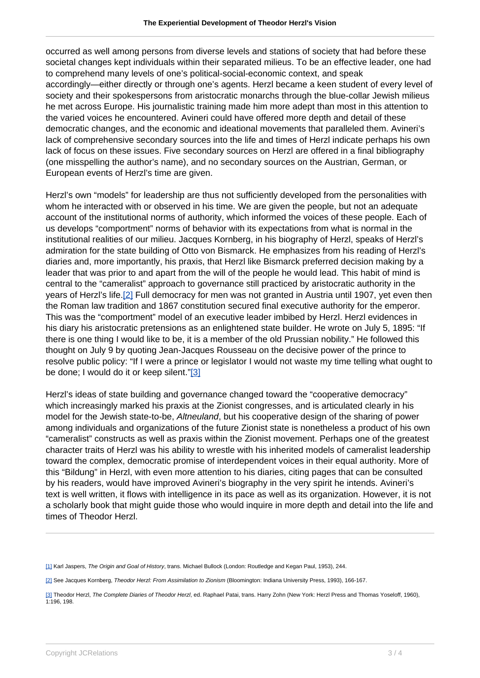occurred as well among persons from diverse levels and stations of society that had before these societal changes kept individuals within their separated milieus. To be an effective leader, one had to comprehend many levels of one's political-social-economic context, and speak accordingly—either directly or through one's agents. Herzl became a keen student of every level of society and their spokespersons from aristocratic monarchs through the blue-collar Jewish milieus he met across Europe. His journalistic training made him more adept than most in this attention to the varied voices he encountered. Avineri could have offered more depth and detail of these democratic changes, and the economic and ideational movements that paralleled them. Avineri's lack of comprehensive secondary sources into the life and times of Herzl indicate perhaps his own lack of focus on these issues. Five secondary sources on Herzl are offered in a final bibliography (one misspelling the author's name), and no secondary sources on the Austrian, German, or European events of Herzl's time are given.

Herzl's own "models" for leadership are thus not sufficiently developed from the personalities with whom he interacted with or observed in his time. We are given the people, but not an adequate account of the institutional norms of authority, which informed the voices of these people. Each of us develops "comportment" norms of behavior with its expectations from what is normal in the institutional realities of our milieu. Jacques Kornberg, in his biography of Herzl, speaks of Herzl's admiration for the state building of Otto von Bismarck. He emphasizes from his reading of Herzl's diaries and, more importantly, his praxis, that Herzl like Bismarck preferred decision making by a leader that was prior to and apart from the will of the people he would lead. This habit of mind is central to the "cameralist" approach to governance still practiced by aristocratic authority in the years of Herzl's life.[2] Full democracy for men was not granted in Austria until 1907, yet even then the Roman law tradition and 1867 constitution secured final executive authority for the emperor. This was the "comportment" model of an executive leader imbibed by Herzl. Herzl evidences in his diary his aristocratic pretensions as an enlightened state builder. He wrote on July 5, 1895: "If there is one thing I would like to be, it is a member of the old Prussian nobility." He followed this thought on July 9 by quoting Jean-Jacques Rousseau on the decisive power of the prince to resolve public policy: "If I were a prince or legislator I would not waste my time telling what ought to be done; I would do it or keep silent."[3]

Herzl's ideas of state building and governance changed toward the "cooperative democracy" which increasingly marked his praxis at the Zionist congresses, and is articulated clearly in his model for the Jewish state-to-be, Altneuland, but his cooperative design of the sharing of power among individuals and organizations of the future Zionist state is nonetheless a product of his own "cameralist" constructs as well as praxis within the Zionist movement. Perhaps one of the greatest character traits of Herzl was his ability to wrestle with his inherited models of cameralist leadership toward the complex, democratic promise of interdependent voices in their equal authority. More of this "Bildung" in Herzl, with even more attention to his diaries, citing pages that can be consulted by his readers, would have improved Avineri's biography in the very spirit he intends. Avineri's text is well written, it flows with intelligence in its pace as well as its organization. However, it is not a scholarly book that might guide those who would inquire in more depth and detail into the life and times of Theodor Herzl.

<sup>[1]</sup> Karl Jaspers, The Origin and Goal of History, trans. Michael Bullock (London: Routledge and Kegan Paul, 1953), 244.

<sup>[2]</sup> See Jacques Kornberg, Theodor Herzl: From Assimilation to Zionism (Bloomington: Indiana University Press, 1993), 166-167.

<sup>[3]</sup> Theodor Herzl, The Complete Diaries of Theodor Herzl, ed. Raphael Patai, trans. Harry Zohn (New York: Herzl Press and Thomas Yoseloff, 1960), 1:196, 198.